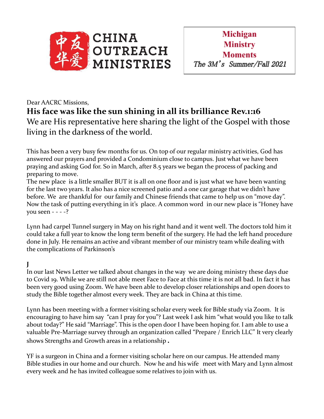

## Dear AACRC Missions, **His face was like the sun shining in all its brilliance Rev.1:16** We are His representative here sharing the light of the Gospel with those living in the darkness of the world.

This has been a very busy few months for us. On top of our regular ministry activities, God has answered our prayers and provided a Condominium close to campus. Just what we have been praying and asking God for. So in March, after 8.5 years we began the process of packing and preparing to move.

The new place is a little smaller BUT it is all on one floor and is just what we have been wanting for the last two years. It also has a nice screened patio and a one car garage that we didn't have before. We are thankful for our family and Chinese friends that came to help us on "move day". Now the task of putting everything in it's place. A common word in our new place is "Honey have you seen - - - -?

Lynn had carpel Tunnel surgery in May on his right hand and it went well. The doctors told him it could take a full year to know the long term benefit of the surgery. He had the left hand procedure done in July. He remains an active and vibrant member of our ministry team while dealing with the complications of Parkinson's

## **J**

In our last News Letter we talked about changes in the way we are doing ministry these days due to Covid 19. While we are still not able meet Face to Face at this time it is not all bad. In fact it has been very good using Zoom. We have been able to develop closer relationships and open doors to study the Bible together almost every week. They are back in China at this time.

Lynn has been meeting with a former visiting scholar every week for Bible study via Zoom. It is encouraging to have him say "can I pray for you"? Last week I ask him "what would you like to talk about today?" He said "Marriage". This is the open door I have been hoping for. I am able to use a valuable Pre-Marriage survey through an organization called "Prepare / Enrich LLC" It very clearly shows Strengths and Growth areas in a relationship **.**

YF is a surgeon in China and a former visiting scholar here on our campus. He attended many Bible studies in our home and our church. Now he and his wife meet with Mary and Lynn almost every week and he has invited colleague some relatives to join with us.